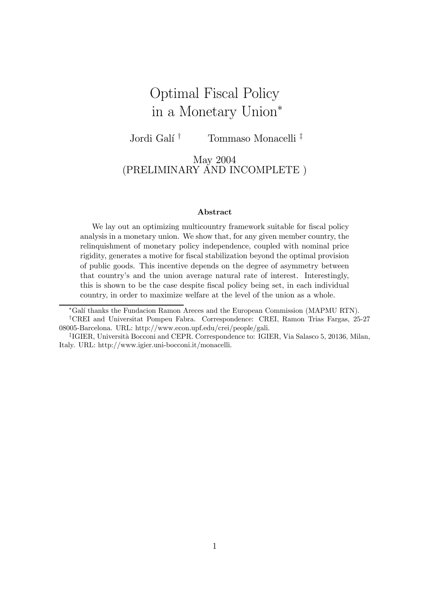# Optimal Fiscal Policy in a Monetary Union<sup>∗</sup>

Jordi Galí<sup>†</sup> † Tommaso Monacelli<sup>‡</sup>

## May 2004 (PRELIMINARY AND INCOMPLETE )

#### Abstract

We lay out an optimizing multicountry framework suitable for fiscal policy analysis in a monetary union. We show that, for any given member country, the relinquishment of monetary policy independence, coupled with nominal price rigidity, generates a motive for fiscal stabilization beyond the optimal provision of public goods. This incentive depends on the degree of asymmetry between that country's and the union average natural rate of interest. Interestingly, this is shown to be the case despite fiscal policy being set, in each individual country, in order to maximize welfare at the level of the union as a whole.

∗Gal´ı thanks the Fundacion Ramon Areces and the European Commission (MAPMU RTN).

<sup>†</sup>CREI and Universitat Pompeu Fabra. Correspondence: CREI, Ramon Trias Fargas, 25-27 08005-Barcelona. URL: http://www.econ.upf.edu/crei/people/gali.

<sup>&</sup>lt;sup>‡</sup>IGIER, Università Bocconi and CEPR. Correspondence to: IGIER, Via Salasco 5, 20136, Milan, Italy. URL: http://www.igier.uni-bocconi.it/monacelli.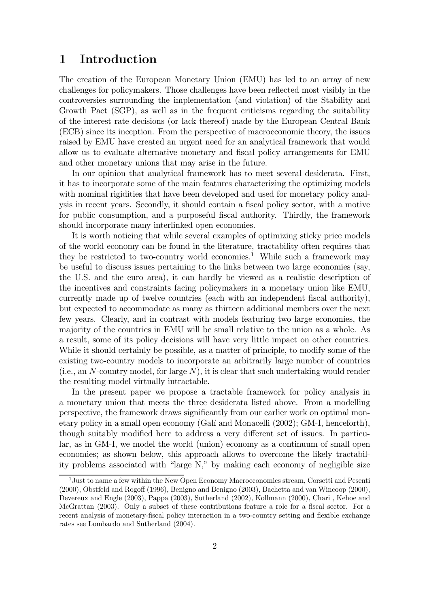## 1 Introduction

The creation of the European Monetary Union (EMU) has led to an array of new challenges for policymakers. Those challenges have been reflected most visibly in the controversies surrounding the implementation (and violation) of the Stability and Growth Pact (SGP), as well as in the frequent criticisms regarding the suitability of the interest rate decisions (or lack thereof) made by the European Central Bank (ECB) since its inception. From the perspective of macroeconomic theory, the issues raised by EMU have created an urgent need for an analytical framework that would allow us to evaluate alternative monetary and fiscal policy arrangements for EMU and other monetary unions that may arise in the future.

In our opinion that analytical framework has to meet several desiderata. First, it has to incorporate some of the main features characterizing the optimizing models with nominal rigidities that have been developed and used for monetary policy analysis in recent years. Secondly, it should contain a fiscal policy sector, with a motive for public consumption, and a purposeful fiscal authority. Thirdly, the framework should incorporate many interlinked open economies.

It is worth noticing that while several examples of optimizing sticky price models of the world economy can be found in the literature, tractability often requires that they be restricted to two-country world economies.<sup>1</sup> While such a framework may be useful to discuss issues pertaining to the links between two large economies (say, the U.S. and the euro area), it can hardly be viewed as a realistic description of the incentives and constraints facing policymakers in a monetary union like EMU, currently made up of twelve countries (each with an independent fiscal authority), but expected to accommodate as many as thirteen additional members over the next few years. Clearly, and in contrast with models featuring two large economies, the majority of the countries in EMU will be small relative to the union as a whole. As a result, some of its policy decisions will have very little impact on other countries. While it should certainly be possible, as a matter of principle, to modify some of the existing two-country models to incorporate an arbitrarily large number of countries (i.e., an N-country model, for large  $N$ ), it is clear that such undertaking would render the resulting model virtually intractable.

In the present paper we propose a tractable framework for policy analysis in a monetary union that meets the three desiderata listed above. From a modelling perspective, the framework draws significantly from our earlier work on optimal monetary policy in a small open economy (Galí and Monacelli (2002); GM-I, henceforth), though suitably modified here to address a very different set of issues. In particular, as in GM-I, we model the world (union) economy as a continuum of small open economies; as shown below, this approach allows to overcome the likely tractability problems associated with "large N," by making each economy of negligible size

<sup>1</sup>Just to name a few within the New Open Economy Macroeconomics stream, Corsetti and Pesenti (2000), Obstfeld and Rogoff (1996), Benigno and Benigno (2003), Bachetta and van Wincoop (2000), Devereux and Engle (2003), Pappa (2003), Sutherland (2002), Kollmann (2000), Chari , Kehoe and McGrattan (2003). Only a subset of these contributions feature a role for a fiscal sector. For a recent analysis of monetary-fiscal policy interaction in a two-country setting and flexible exchange rates see Lombardo and Sutherland (2004).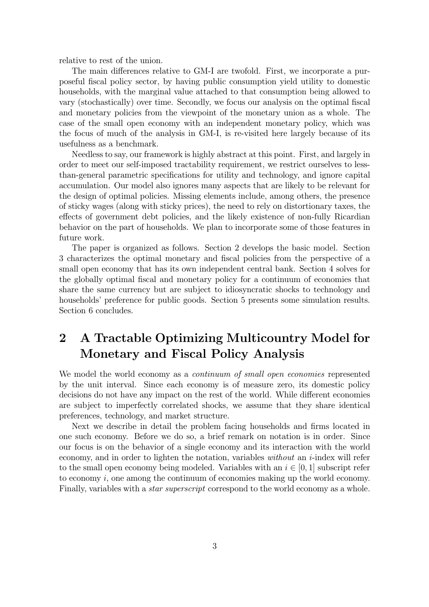relative to rest of the union.

The main differences relative to GM-I are twofold. First, we incorporate a purposeful fiscal policy sector, by having public consumption yield utility to domestic households, with the marginal value attached to that consumption being allowed to vary (stochastically) over time. Secondly, we focus our analysis on the optimal fiscal and monetary policies from the viewpoint of the monetary union as a whole. The case of the small open economy with an independent monetary policy, which was the focus of much of the analysis in GM-I, is re-visited here largely because of its usefulness as a benchmark.

Needless to say, our framework is highly abstract at this point. First, and largely in order to meet our self-imposed tractability requirement, we restrict ourselves to lessthan-general parametric specifications for utility and technology, and ignore capital accumulation. Our model also ignores many aspects that are likely to be relevant for the design of optimal policies. Missing elements include, among others, the presence of sticky wages (along with sticky prices), the need to rely on distortionary taxes, the effects of government debt policies, and the likely existence of non-fully Ricardian behavior on the part of households. We plan to incorporate some of those features in future work.

The paper is organized as follows. Section 2 develops the basic model. Section 3 characterizes the optimal monetary and fiscal policies from the perspective of a small open economy that has its own independent central bank. Section 4 solves for the globally optimal fiscal and monetary policy for a continuum of economies that share the same currency but are subject to idiosyncratic shocks to technology and households' preference for public goods. Section 5 presents some simulation results. Section 6 concludes.

# 2 A Tractable Optimizing Multicountry Model for Monetary and Fiscal Policy Analysis

We model the world economy as a *continuum of small open economies* represented by the unit interval. Since each economy is of measure zero, its domestic policy decisions do not have any impact on the rest of the world. While different economies are subject to imperfectly correlated shocks, we assume that they share identical preferences, technology, and market structure.

Next we describe in detail the problem facing households and firms located in one such economy. Before we do so, a brief remark on notation is in order. Since our focus is on the behavior of a single economy and its interaction with the world economy, and in order to lighten the notation, variables without an  $i$ -index will refer to the small open economy being modeled. Variables with an  $i \in [0, 1]$  subscript refer to economy i, one among the continuum of economies making up the world economy. Finally, variables with a *star superscript* correspond to the world economy as a whole.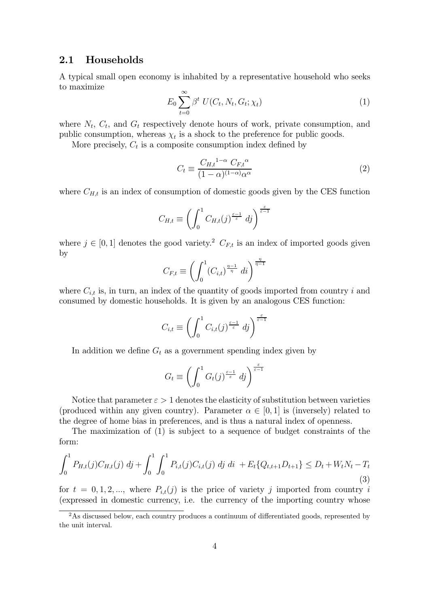### 2.1 Households

A typical small open economy is inhabited by a representative household who seeks to maximize

$$
E_0 \sum_{t=0}^{\infty} \beta^t U(C_t, N_t, G_t; \chi_t)
$$
\n(1)

where  $N_t$ ,  $C_t$ , and  $G_t$  respectively denote hours of work, private consumption, and public consumption, whereas  $\chi_t$  is a shock to the preference for public goods.

More precisely,  $C_t$  is a composite consumption index defined by

$$
C_t \equiv \frac{C_{H,t}^{1-\alpha} C_{F,t}^{\alpha}}{(1-\alpha)^{(1-\alpha)}\alpha^{\alpha}}
$$
\n(2)

where  $C_{H,t}$  is an index of consumption of domestic goods given by the CES function

$$
C_{H,t} \equiv \left(\int_0^1 C_{H,t}(j)^{\frac{\varepsilon-1}{\varepsilon}} \, dj\right)^{\frac{\varepsilon}{\varepsilon-1}}
$$

where  $j \in [0, 1]$  denotes the good variety.<sup>2</sup>  $C_{F,t}$  is an index of imported goods given by

$$
C_{F,t} \equiv \left( \int_0^1 (C_{i,t})^{\frac{\eta - 1}{\eta}} \, dt \right)^{\frac{\eta}{\eta - 1}}
$$

where  $C_{i,t}$  is, in turn, an index of the quantity of goods imported from country i and consumed by domestic households. It is given by an analogous CES function:

$$
C_{i,t} \equiv \left(\int_0^1 C_{i,t}(j)^{\frac{\varepsilon-1}{\varepsilon}} \, dj\right)^{\frac{\varepsilon}{\varepsilon-1}}
$$

In addition we define  $G_t$  as a government spending index given by

$$
G_t \equiv \left(\int_0^1 G_t(j)^{\frac{\varepsilon-1}{\varepsilon}} \ d j\right)^{\frac{\varepsilon}{\varepsilon-1}}
$$

Notice that parameter  $\varepsilon > 1$  denotes the elasticity of substitution between varieties (produced within any given country). Parameter  $\alpha \in [0,1]$  is (inversely) related to the degree of home bias in preferences, and is thus a natural index of openness.

The maximization of (1) is subject to a sequence of budget constraints of the form:

$$
\int_0^1 P_{H,t}(j) C_{H,t}(j) \, dj + \int_0^1 \int_0^1 P_{i,t}(j) C_{i,t}(j) \, dj \, di \, + E_t \{Q_{t,t+1} D_{t+1}\} \le D_t + W_t N_t - T_t
$$
\n(3)

for  $t = 0, 1, 2, \dots$ , where  $P_{i,t}(j)$  is the price of variety j imported from country i (expressed in domestic currency, i.e. the currency of the importing country whose

<sup>&</sup>lt;sup>2</sup>As discussed below, each country produces a continuum of differentiated goods, represented by the unit interval.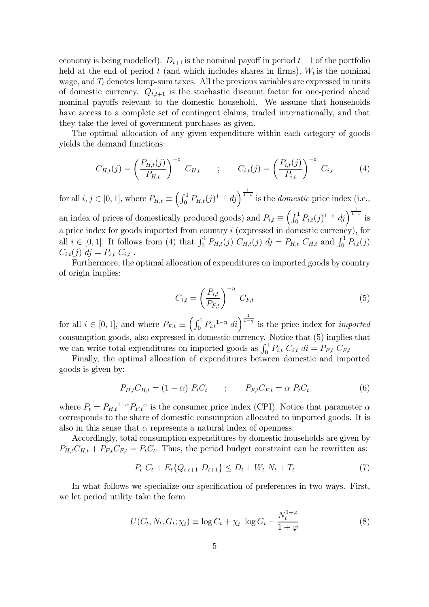economy is being modelled).  $D_{t+1}$  is the nominal payoff in period  $t+1$  of the portfolio held at the end of period t (and which includes shares in firms),  $W_t$  is the nominal wage, and  $T_t$  denotes lump-sum taxes. All the previous variables are expressed in units of domestic currency.  $Q_{t,t+1}$  is the stochastic discount factor for one-period ahead nominal payoffs relevant to the domestic household. We assume that households have access to a complete set of contingent claims, traded internationally, and that they take the level of government purchases as given.

The optimal allocation of any given expenditure within each category of goods yields the demand functions:

$$
C_{H,t}(j) = \left(\frac{P_{H,t}(j)}{P_{H,t}}\right)^{-\varepsilon} C_{H,t} \qquad ; \qquad C_{i,t}(j) = \left(\frac{P_{i,t}(j)}{P_{i,t}}\right)^{-\varepsilon} C_{i,t} \qquad (4)
$$

for all  $i, j \in [0, 1]$ , where  $P_{H,t} \equiv \left( \int_0^1 P_{H,t}(j)^{1-\varepsilon} dj \right)^{\frac{1}{1-\varepsilon}}$  is the *domestic* price index (i.e., an index of prices of domestically produced goods) and  $P_{i,t} \equiv \left(\int_0^1 P_{i,t}(j)^{1-\varepsilon} dj\right)^{\frac{1}{1-\varepsilon}}$  is a price index for goods imported from country  $i$  (expressed in domestic currency), for all  $i \in [0, 1]$ . It follows from (4) that  $\int_0^1 P_{H,t}(j) C_{H,t}(j) dj = P_{H,t} C_{H,t}$  and  $\int_0^1 P_{i,t}(j)$  $C_{i,t}(j)$  dj =  $P_{i,t}$   $C_{i,t}$ .

Furthermore, the optimal allocation of expenditures on imported goods by country of origin implies:

$$
C_{i,t} = \left(\frac{P_{i,t}}{P_{F,t}}\right)^{-\eta} C_{F,t}
$$
\n
$$
(5)
$$

for all  $i \in [0,1]$ , and where  $P_{F,t} \equiv \left(\int_0^1 P_{i,t}^{1-\eta} dt\right)^{\frac{1}{1-\eta}}$  is the price index for *imported* consumption goods, also expressed in domestic currency. Notice that (5) implies that we can write total expenditures on imported goods as  $\int_0^1 P_{i,t} C_{i,t} dt = P_{F,t} C_{F,t}$ 

Finally, the optimal allocation of expenditures between domestic and imported goods is given by:

$$
P_{H,t}C_{H,t} = (1 - \alpha) P_t C_t \qquad ; \qquad P_{F,t}C_{F,t} = \alpha P_t C_t \tag{6}
$$

where  $P_t = P_{H,t}^{1-\alpha} P_{F,t}^{\alpha}$  is the consumer price index (CPI). Notice that parameter  $\alpha$ corresponds to the share of domestic consumption allocated to imported goods. It is also in this sense that  $\alpha$  represents a natural index of openness.

Accordingly, total consumption expenditures by domestic households are given by  $P_{H,t}C_{H,t} + P_{F,t}C_{F,t} = P_tC_t$ . Thus, the period budget constraint can be rewritten as:

$$
P_t C_t + E_t \{Q_{t,t+1} D_{t+1}\} \le D_t + W_t N_t + T_t \tag{7}
$$

In what follows we specialize our specification of preferences in two ways. First, we let period utility take the form

$$
U(C_t, N_t, G_t; \chi_t) \equiv \log C_t + \chi_t \, \log G_t - \frac{N_t^{1+\varphi}}{1+\varphi} \tag{8}
$$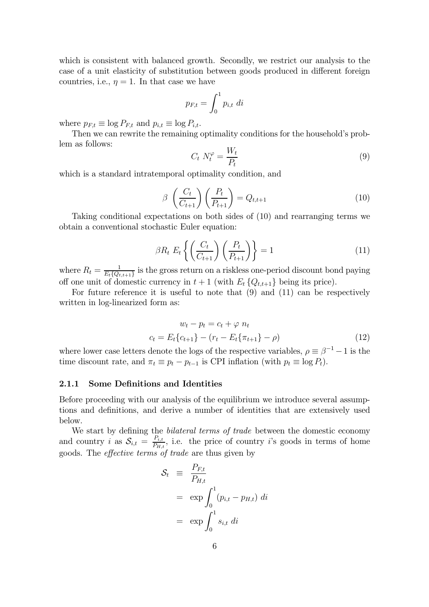which is consistent with balanced growth. Secondly, we restrict our analysis to the case of a unit elasticity of substitution between goods produced in different foreign countries, i.e.,  $\eta = 1$ . In that case we have

$$
p_{F,t} = \int_0^1 p_{i,t} \ dt
$$

where  $p_{F,t} \equiv \log P_{F,t}$  and  $p_{i,t} \equiv \log P_{i,t}$ .

Then we can rewrite the remaining optimality conditions for the household's problem as follows:

$$
C_t N_t^{\varphi} = \frac{W_t}{P_t} \tag{9}
$$

which is a standard intratemporal optimality condition, and

$$
\beta \left(\frac{C_t}{C_{t+1}}\right) \left(\frac{P_t}{P_{t+1}}\right) = Q_{t,t+1} \tag{10}
$$

Taking conditional expectations on both sides of (10) and rearranging terms we obtain a conventional stochastic Euler equation:

$$
\beta R_t E_t \left\{ \left( \frac{C_t}{C_{t+1}} \right) \left( \frac{P_t}{P_{t+1}} \right) \right\} = 1 \tag{11}
$$

where  $R_t = \frac{1}{E_t\{Q_{t,t+1}\}}$  is the gross return on a riskless one-period discount bond paying off one unit of domestic currency in  $t + 1$  (with  $E_t$  { $Q_{t,t+1}$ } being its price).

For future reference it is useful to note that (9) and (11) can be respectively written in log-linearized form as:

$$
w_t - p_t = c_t + \varphi n_t
$$
  

$$
c_t = E_t \{c_{t+1}\} - (r_t - E_t \{\pi_{t+1}\} - \rho)
$$
 (12)

where lower case letters denote the logs of the respective variables,  $\rho \equiv \beta^{-1} - 1$  is the time discount rate, and  $\pi_t \equiv p_t - p_{t-1}$  is CPI inflation (with  $p_t \equiv \log P_t$ ).

#### 2.1.1 Some Definitions and Identities

Before proceeding with our analysis of the equilibrium we introduce several assumptions and definitions, and derive a number of identities that are extensively used below.

We start by defining the *bilateral terms of trade* between the domestic economy and country i as  $S_{i,t} = \frac{P_{i,t}}{P_{H,t}}$ , i.e. the price of country i's goods in terms of home goods. The effective terms of trade are thus given by

$$
\mathcal{S}_t \equiv \frac{P_{F,t}}{P_{H,t}}
$$
  
=  $\exp \int_0^1 (p_{i,t} - p_{H,t}) dt$   
=  $\exp \int_0^1 s_{i,t} dt$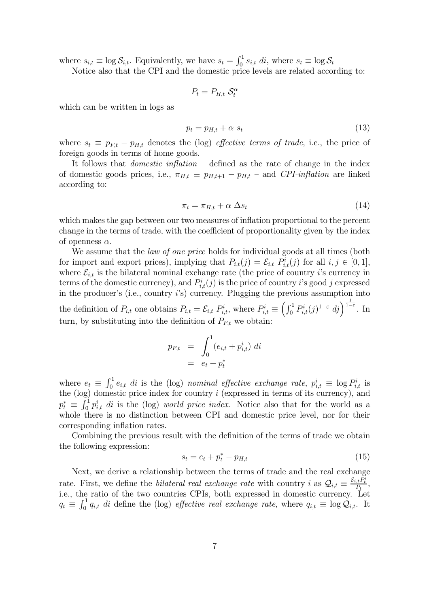where  $s_{i,t} \equiv \log \mathcal{S}_{i,t}$ . Equivalently, we have  $s_t = \int_0^1 s_{i,t} dt$ , where  $s_t \equiv \log \mathcal{S}_t$ 

Notice also that the CPI and the domestic price levels are related according to:

$$
P_t = P_{H,t} \mathcal{S}_t^{\alpha}
$$

which can be written in logs as

$$
p_t = p_{H,t} + \alpha s_t \tag{13}
$$

where  $s_t \equiv p_{F,t} - p_{H,t}$  denotes the (log) *effective terms of trade*, i.e., the price of foreign goods in terms of home goods.

It follows that domestic inflation — defined as the rate of change in the index of domestic goods prices, i.e.,  $\pi_{H,t} \equiv p_{H,t+1} - p_{H,t}$  – and CPI-inflation are linked according to:

$$
\pi_t = \pi_{H,t} + \alpha \ \Delta s_t \tag{14}
$$

which makes the gap between our two measures of inflation proportional to the percent change in the terms of trade, with the coefficient of proportionality given by the index of openness  $\alpha$ .

We assume that the *law of one price* holds for individual goods at all times (both for import and export prices), implying that  $P_{i,t}(j) = \mathcal{E}_{i,t} P_{i,t}(j)$  for all  $i, j \in [0, 1]$ , where  $\mathcal{E}_{i,t}$  is the bilateral nominal exchange rate (the price of country i's currency in terms of the domestic currency), and  $P_{i,t}^{i}(j)$  is the price of country i's good j expressed in the producer's (i.e., country i's) currency. Plugging the previous assumption into the definition of  $P_{i,t}$  one obtains  $P_{i,t} = \mathcal{E}_{i,t} P_{i,t}^i$ , where  $P_{i,t}^i \equiv \left(\int_0^1 P_{i,t}^i(j)^{1-\varepsilon} d_j\right)^{\frac{1}{1-\varepsilon}}$ . In turn, by substituting into the definition of  $P_{F,t}$  we obtain:

$$
p_{F,t} = \int_0^1 (e_{i,t} + p_{i,t}^i) \, dt
$$
  
=  $e_t + p_t^*$ 

where  $e_t \equiv \int_0^1 e_{i,t} \, dt$  is the (log) nominal effective exchange rate,  $p_{i,t}^i \equiv \log P_{i,t}^i$  is the  $(log)$  domestic price index for country  $i$  (expressed in terms of its currency), and  $p_t^* \equiv \int_0^1 p_{i,t}^i \, dt$  is the (log) world price index. Notice also that for the world as a whole there is no distinction between CPI and domestic price level, nor for their corresponding inflation rates.

Combining the previous result with the definition of the terms of trade we obtain the following expression:

$$
s_t = e_t + p_t^* - p_{H,t}
$$
 (15)

Next, we derive a relationship between the terms of trade and the real exchange rate. First, we define the *bilateral real exchange rate* with country i as  $Q_{i,t} \equiv \frac{\mathcal{E}_{i,t} P_t^i}{P_t}$ , i.e., the ratio of the two countries CPIs, both expressed in domestic currency. Let  $q_t \equiv \int_0^1 q_{i,t} \, dt$  define the (log) effective real exchange rate, where  $q_{i,t} \equiv \log Q_{i,t}$ . It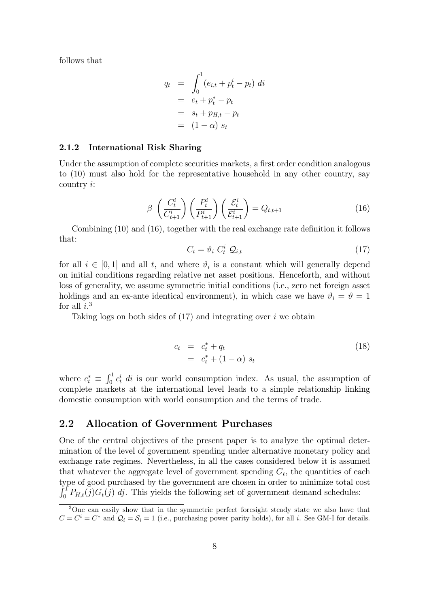follows that

$$
q_t = \int_0^1 (e_{i,t} + p_t^i - p_t) dt
$$
  
=  $e_t + p_t^* - p_t$   
=  $s_t + p_{H,t} - p_t$   
=  $(1 - \alpha) s_t$ 

#### 2.1.2 International Risk Sharing

Under the assumption of complete securities markets, a first order condition analogous to (10) must also hold for the representative household in any other country, say country i:

$$
\beta \left(\frac{C_t^i}{C_{t+1}^i}\right) \left(\frac{P_t^i}{P_{t+1}^i}\right) \left(\frac{\mathcal{E}_t^i}{\mathcal{E}_{t+1}^i}\right) = Q_{t,t+1}
$$
\n(16)

Combining (10) and (16), together with the real exchange rate definition it follows that:

$$
C_t = \vartheta_i \ C_t^i \ \mathcal{Q}_{i,t} \tag{17}
$$

for all  $i \in [0,1]$  and all t, and where  $\vartheta_i$  is a constant which will generally depend on initial conditions regarding relative net asset positions. Henceforth, and without loss of generality, we assume symmetric initial conditions (i.e., zero net foreign asset holdings and an ex-ante identical environment), in which case we have  $\vartheta_i = \vartheta = 1$ for all  $i$ <sup>3</sup>

Taking logs on both sides of  $(17)$  and integrating over i we obtain

$$
c_t = c_t^* + q_t
$$
  
=  $c_t^* + (1 - \alpha) s_t$  (18)

where  $c_t^* \equiv \int_0^1 c_t^i \, dt$  is our world consumption index. As usual, the assumption of complete markets at the international level leads to a simple relationship linking domestic consumption with world consumption and the terms of trade.

### 2.2 Allocation of Government Purchases

One of the central objectives of the present paper is to analyze the optimal determination of the level of government spending under alternative monetary policy and exchange rate regimes. Nevertheless, in all the cases considered below it is assumed that whatever the aggregate level of government spending  $G_t$ , the quantities of each type of good purchased by the government are chosen in order to minimize total cost  $\int_0^T P_{H,t}(j)G_t(j)$  dj. This yields the following set of government demand schedules:

<sup>&</sup>lt;sup>3</sup>One can easily show that in the symmetric perfect foresight steady state we also have that  $C = C^i = C^*$  and  $\mathcal{Q}_i = \mathcal{S}_i = 1$  (i.e., purchasing power parity holds), for all i. See GM-I for details.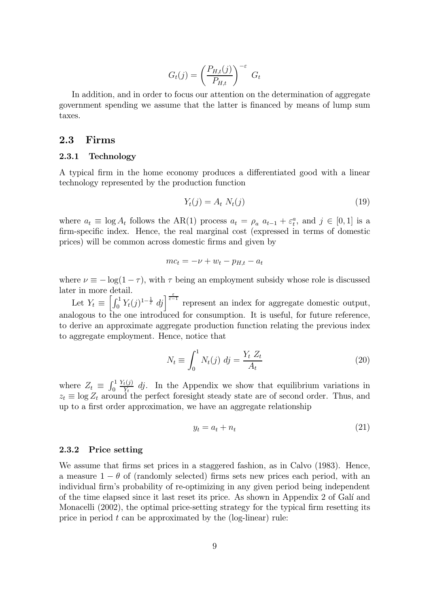$$
G_t(j) = \left(\frac{P_{H,t}(j)}{P_{H,t}}\right)^{-\varepsilon} G_t
$$

In addition, and in order to focus our attention on the determination of aggregate government spending we assume that the latter is financed by means of lump sum taxes.

### 2.3 Firms

### 2.3.1 Technology

A typical firm in the home economy produces a differentiated good with a linear technology represented by the production function

$$
Y_t(j) = A_t N_t(j) \tag{19}
$$

where  $a_t \equiv \log A_t$  follows the AR(1) process  $a_t = \rho_a a_{t-1} + \varepsilon_t^a$ , and  $j \in [0, 1]$  is a firm-specific index. Hence, the real marginal cost (expressed in terms of domestic prices) will be common across domestic firms and given by

$$
mc_t = -\nu + w_t - p_{H,t} - a_t
$$

where  $\nu \equiv -\log(1-\tau)$ , with  $\tau$  being an employment subsidy whose role is discussed later in more detail.

Let  $Y_t \equiv \left[\int_0^1 Y_t(j)^{1-\frac{1}{\varepsilon}} dj\right]^{\frac{\varepsilon}{\varepsilon-1}}$  represent an index for aggregate domestic output, analogous to the one introduced for consumption. It is useful, for future reference, to derive an approximate aggregate production function relating the previous index to aggregate employment. Hence, notice that

$$
N_t \equiv \int_0^1 N_t(j) \, dj = \frac{Y_t \, Z_t}{A_t} \tag{20}
$$

where  $Z_t \equiv \int_0^1$  $\frac{Y_t(j)}{Y_t}$  dj. In the Appendix we show that equilibrium variations in  $z_t \equiv \log Z_t$  around the perfect foresight steady state are of second order. Thus, and up to a first order approximation, we have an aggregate relationship

$$
y_t = a_t + n_t \tag{21}
$$

#### 2.3.2 Price setting

We assume that firms set prices in a staggered fashion, as in Calvo (1983). Hence, a measure  $1 - \theta$  of (randomly selected) firms sets new prices each period, with an individual firm's probability of re-optimizing in any given period being independent of the time elapsed since it last reset its price. As shown in Appendix 2 of Gal´ı and Monacelli (2002), the optimal price-setting strategy for the typical firm resetting its price in period  $t$  can be approximated by the (log-linear) rule: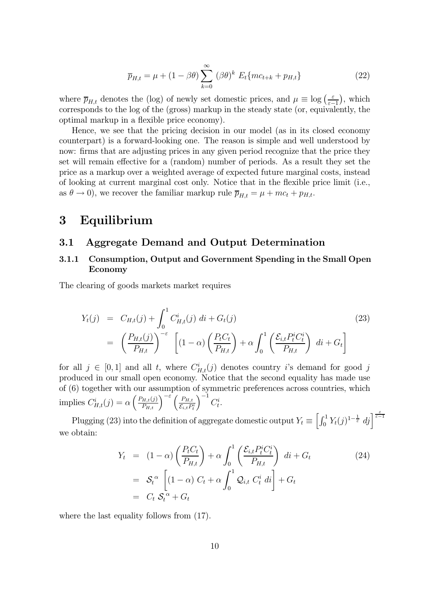$$
\overline{p}_{H,t} = \mu + (1 - \beta \theta) \sum_{k=0}^{\infty} (\beta \theta)^k E_t \{mc_{t+k} + p_{H,t}\}
$$
\n(22)

where  $\overline{p}_{H,t}$  denotes the (log) of newly set domestic prices, and  $\mu \equiv \log \left( \frac{\varepsilon}{\varepsilon - 1} \right)$ ¢ , which corresponds to the log of the (gross) markup in the steady state (or, equivalently, the optimal markup in a flexible price economy).

Hence, we see that the pricing decision in our model (as in its closed economy counterpart) is a forward-looking one. The reason is simple and well understood by now: firms that are adjusting prices in any given period recognize that the price they set will remain effective for a (random) number of periods. As a result they set the price as a markup over a weighted average of expected future marginal costs, instead of looking at current marginal cost only. Notice that in the flexible price limit (i.e., as  $\theta \to 0$ , we recover the familiar markup rule  $\overline{p}_{H,t} = \mu + mc_t + p_{H,t}$ .

# 3 Equilibrium

### 3.1 Aggregate Demand and Output Determination

## 3.1.1 Consumption, Output and Government Spending in the Small Open Economy

The clearing of goods markets market requires

$$
Y_t(j) = C_{H,t}(j) + \int_0^1 C_{H,t}^i(j) \, di + G_t(j)
$$
\n
$$
= \left(\frac{P_{H,t}(j)}{P_{H,t}}\right)^{-\varepsilon} \left[ (1-\alpha) \left(\frac{P_t C_t}{P_{H,t}}\right) + \alpha \int_0^1 \left(\frac{\mathcal{E}_{i,t} P_t^i C_t^i}{P_{H,t}}\right) \, di + G_t \right]
$$
\n(23)

for all  $j \in [0,1]$  and all t, where  $C_{H,t}(j)$  denotes country i's demand for good j produced in our small open economy. Notice that the second equality has made use of (6) together with our assumption of symmetric preferences across countries, which implies  $C_{H,t}^i(j) = \alpha \left(\frac{P_{H,t}(j)}{P_{H,t}}\right)^{-\varepsilon} \left(\frac{P_{H,t}}{\varepsilon_{i,t} P_t^i}\right)$  $\Big)^{-1}C_t^i.$ 

Plugging (23) into the definition of aggregate domestic output  $Y_t \equiv \left[\int_0^1 Y_t(j)^{1-\frac{1}{\varepsilon}} dj\right]^{\frac{\varepsilon}{\varepsilon-1}}$ we obtain:

$$
Y_t = (1 - \alpha) \left( \frac{P_t C_t}{P_{H,t}} \right) + \alpha \int_0^1 \left( \frac{\mathcal{E}_{i,t} P_t^i C_t^i}{P_{H,t}} \right) dt + G_t
$$
  
=  $\mathcal{S}_t^{\alpha} \left[ (1 - \alpha) C_t + \alpha \int_0^1 \mathcal{Q}_{i,t} C_t^i dt \right] + G_t$   
=  $C_t \mathcal{S}_t^{\alpha} + G_t$  (24)

where the last equality follows from  $(17)$ .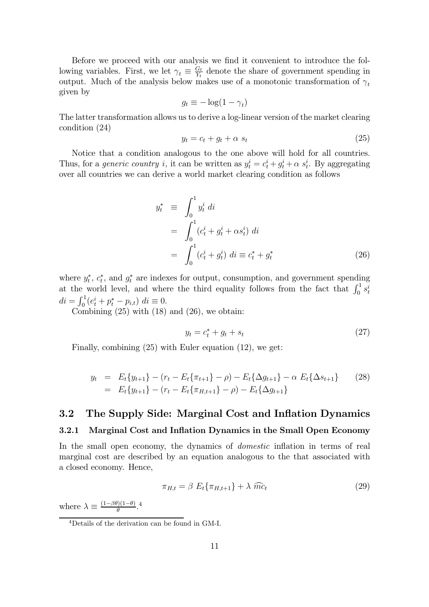Before we proceed with our analysis we find it convenient to introduce the following variables. First, we let  $\gamma_t \equiv \frac{G_t}{Y_t}$  denote the share of government spending in output. Much of the analysis below makes use of a monotonic transformation of  $\gamma_t$ given by

$$
g_t \equiv -\log(1-\gamma_t)
$$

The latter transformation allows us to derive a log-linear version of the market clearing condition (24)

$$
y_t = c_t + g_t + \alpha s_t \tag{25}
$$

Notice that a condition analogous to the one above will hold for all countries. Thus, for a *generic country i*, it can be written as  $y_t^i = c_t^i + g_t^i + \alpha s_t^i$ . By aggregating over all countries we can derive a world market clearing condition as follows

$$
y_t^* \equiv \int_0^1 y_t^i \, dt
$$
  
= 
$$
\int_0^1 (c_t^i + g_t^i + \alpha s_t^i) \, dt
$$
  
= 
$$
\int_0^1 (c_t^i + g_t^i) \, dt \equiv c_t^* + g_t^*
$$
 (26)

where  $y_t^*, c_t^*$ , and  $g_t^*$  are indexes for output, consumption, and government spending at the world level, and where the third equality follows from the fact that  $\int_0^1 s_t^i$  $di = \int_0^1 (e_t^i + p_t^* - p_{i,t}) \, dt \equiv 0.$ 

Combining  $(25)$  with  $(18)$  and  $(26)$ , we obtain:

$$
y_t = c_t^* + g_t + s_t \tag{27}
$$

Finally, combining (25) with Euler equation (12), we get:

$$
y_t = E_t \{y_{t+1}\} - (r_t - E_t \{\pi_{t+1}\} - \rho) - E_t \{\Delta g_{t+1}\} - \alpha E_t \{\Delta s_{t+1}\}
$$
 (28)  
=  $E_t \{y_{t+1}\} - (r_t - E_t \{\pi_{H,t+1}\} - \rho) - E_t \{\Delta g_{t+1}\}$ 

### 3.2 The Supply Side: Marginal Cost and Inflation Dynamics

### 3.2.1 Marginal Cost and Inflation Dynamics in the Small Open Economy

In the small open economy, the dynamics of domestic inflation in terms of real marginal cost are described by an equation analogous to the that associated with a closed economy. Hence,

$$
\pi_{H,t} = \beta E_t \{\pi_{H,t+1}\} + \lambda \widehat{mc}_t \tag{29}
$$

where  $\lambda \equiv \frac{(1-\beta\theta)(1-\theta)}{\theta}$ .<sup>4</sup>

<sup>4</sup>Details of the derivation can be found in GM-I.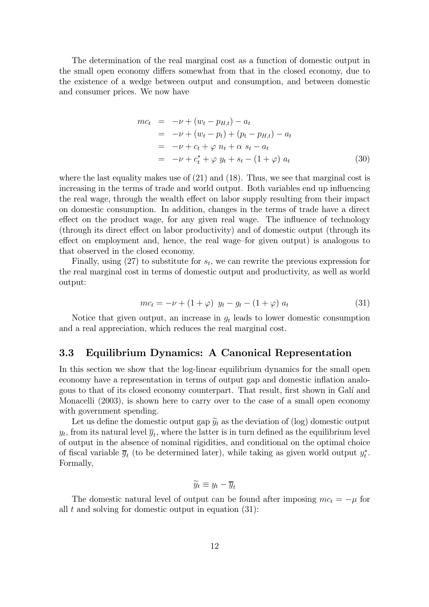The determination of the real marginal cost as a function of domestic output in the small open economy differs somewhat from that in the closed economy, due to the existence of a wedge between output and consumption, and between domestic and consumer prices. We now have

$$
mc_t = -\nu + (w_t - p_{H,t}) - a_t
$$
  
= -\nu + (w\_t - p\_t) + (p\_t - p\_{H,t}) - a\_t  
= -\nu + c\_t + \varphi n\_t + \alpha s\_t - a\_t  
= -\nu + c\_t^\* + \varphi y\_t + s\_t - (1 + \varphi) a\_t (30)

where the last equality makes use of  $(21)$  and  $(18)$ . Thus, we see that marginal cost is increasing in the terms of trade and world output. Both variables end up influencing the real wage, through the wealth effect on labor supply resulting from their impact on domestic consumption. In addition, changes in the terms of trade have a direct effect on the product wage, for any given real wage. The influence of technology (through its direct effect on labor productivity) and of domestic output (through its effect on employment and, hence, the real wage—for given output) is analogous to that observed in the closed economy.

Finally, using  $(27)$  to substitute for  $s_t$ , we can rewrite the previous expression for the real marginal cost in terms of domestic output and productivity, as well as world output:

$$
mc_t = -\nu + (1 + \varphi) y_t - g_t - (1 + \varphi) a_t \tag{31}
$$

Notice that given output, an increase in  $g_t$  leads to lower domestic consumption and a real appreciation, which reduces the real marginal cost.

### 3.3 Equilibrium Dynamics: A Canonical Representation

In this section we show that the log-linear equilibrium dynamics for the small open economy have a representation in terms of output gap and domestic inflation analogous to that of its closed economy counterpart. That result, first shown in Gal´ı and Monacelli (2003), is shown here to carry over to the case of a small open economy with government spending.

Let us define the domestic output gap  $\widetilde{y}_t$  as the deviation of (log) domestic output  $y_t$ , from its natural level  $\overline{y}_t$ , where the latter is in turn defined as the equilibrium level of output in the absence of nominal rigidities, and conditional on the optimal choice of fiscal variable  $\overline{g}_t$  (to be determined later), while taking as given world output  $y_t^*$ . Formally,

$$
\widetilde{y}_t \equiv y_t - \overline{y}_t
$$

The domestic natural level of output can be found after imposing  $mc_t = -\mu$  for all  $t$  and solving for domestic output in equation  $(31)$ :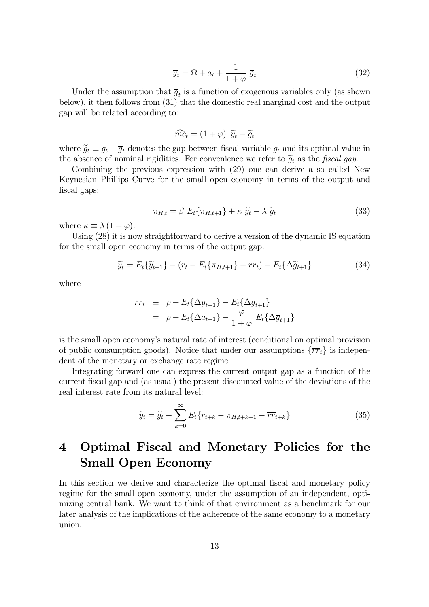$$
\overline{y}_t = \Omega + a_t + \frac{1}{1+\varphi} \, \overline{g}_t \tag{32}
$$

Under the assumption that  $\overline{g}_t$  is a function of exogenous variables only (as shown below), it then follows from (31) that the domestic real marginal cost and the output gap will be related according to:

$$
\widehat{mc}_t = (1 + \varphi) \ \widetilde{y}_t - \widetilde{g}_t
$$

where  $\tilde{g}_t \equiv g_t - \overline{g}_t$  denotes the gap between fiscal variable  $g_t$  and its optimal value in the absence of nominal rigidities. For convenience we refer to  $\tilde{g}_t$  as the fiscal gap.

Combining the previous expression with (29) one can derive a so called New Keynesian Phillips Curve for the small open economy in terms of the output and fiscal gaps:

$$
\pi_{H,t} = \beta \ E_t \{\pi_{H,t+1}\} + \kappa \ \widetilde{y}_t - \lambda \ \widetilde{g}_t \tag{33}
$$

where  $\kappa \equiv \lambda (1 + \varphi)$ .

Using (28) it is now straightforward to derive a version of the dynamic IS equation for the small open economy in terms of the output gap:

$$
\widetilde{y}_t = E_t \{ \widetilde{y}_{t+1} \} - (r_t - E_t \{ \pi_{H,t+1} \} - \overline{rr}_t) - E_t \{ \Delta \widetilde{g}_{t+1} \} \tag{34}
$$

where

$$
\overline{rr}_t \equiv \rho + E_t \{ \Delta \overline{y}_{t+1} \} - E_t \{ \Delta \overline{g}_{t+1} \}
$$
  
=  $\rho + E_t \{ \Delta a_{t+1} \} - \frac{\varphi}{1 + \varphi} E_t \{ \Delta \overline{g}_{t+1} \}$ 

is the small open economy's natural rate of interest (conditional on optimal provision of public consumption goods). Notice that under our assumptions  $\{\overline{rr}_t\}$  is independent of the monetary or exchange rate regime.

Integrating forward one can express the current output gap as a function of the current fiscal gap and (as usual) the present discounted value of the deviations of the real interest rate from its natural level:

$$
\widetilde{y}_t = \widetilde{g}_t - \sum_{k=0}^{\infty} E_t \{ r_{t+k} - \pi_{H,t+k+1} - \overline{rr}_{t+k} \}
$$
\n(35)

# 4 Optimal Fiscal and Monetary Policies for the Small Open Economy

In this section we derive and characterize the optimal fiscal and monetary policy regime for the small open economy, under the assumption of an independent, optimizing central bank. We want to think of that environment as a benchmark for our later analysis of the implications of the adherence of the same economy to a monetary union.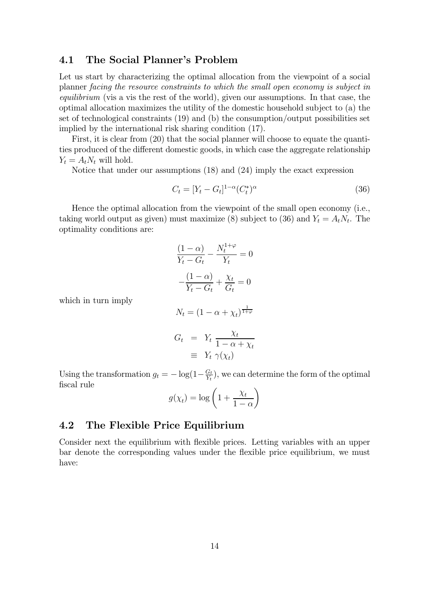### 4.1 The Social Planner's Problem

Let us start by characterizing the optimal allocation from the viewpoint of a social planner facing the resource constraints to which the small open economy is subject in equilibrium (vis a vis the rest of the world), given our assumptions. In that case, the optimal allocation maximizes the utility of the domestic household subject to (a) the set of technological constraints (19) and (b) the consumption/output possibilities set implied by the international risk sharing condition (17).

First, it is clear from  $(20)$  that the social planner will choose to equate the quantities produced of the different domestic goods, in which case the aggregate relationship  $Y_t = A_t N_t$  will hold.

Notice that under our assumptions (18) and (24) imply the exact expression

$$
C_t = [Y_t - G_t]^{1-\alpha} (C_t^*)^{\alpha}
$$
\n(36)

Hence the optimal allocation from the viewpoint of the small open economy (i.e., taking world output as given) must maximize (8) subject to (36) and  $Y_t = A_t N_t$ . The optimality conditions are:

$$
\frac{(1 - \alpha)}{Y_t - G_t} - \frac{N_t^{1+\varphi}}{Y_t} = 0
$$

$$
-\frac{(1 - \alpha)}{Y_t - G_t} + \frac{\chi_t}{G_t} = 0
$$

$$
N_t = (1 - \alpha + \chi_t)^{\frac{1}{1+\varphi}}
$$

$$
G_t = Y_t \frac{\chi_t}{1 - \alpha + \chi_t}
$$

$$
\equiv Y_t \gamma(\chi_t)
$$

Using the transformation  $g_t = -\log(1 - \frac{G_t}{Y_t})$ , we can determine the form of the optimal fiscal rule

$$
g(\chi_t) = \log\left(1 + \frac{\chi_t}{1 - \alpha}\right)
$$

## 4.2 The Flexible Price Equilibrium

which in turn imply

Consider next the equilibrium with flexible prices. Letting variables with an upper bar denote the corresponding values under the flexible price equilibrium, we must have: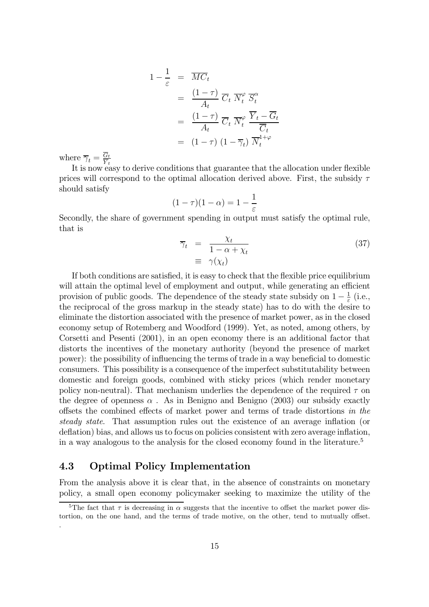$$
1 - \frac{1}{\varepsilon} = \overline{MC}_t
$$
  
= 
$$
\frac{(1 - \tau)}{A_t} \overline{C}_t \ \overline{N}_t^{\varphi} \ \overline{S}_t^{\alpha}
$$
  
= 
$$
\frac{(1 - \tau)}{A_t} \ \overline{C}_t \ \overline{N}_t^{\varphi} \ \frac{\overline{Y}_t - \overline{G}_t}{\overline{C}_t}
$$
  
= 
$$
(1 - \tau) \ (1 - \overline{\gamma}_t) \ \overline{N}_t^{1 + \varphi}
$$

where  $\overline{\gamma}_t = \frac{G_t}{\overline{Y}_t}$ 

It is now easy to derive conditions that guarantee that the allocation under flexible prices will correspond to the optimal allocation derived above. First, the subsidy  $\tau$ should satisfy

$$
(1 - \tau)(1 - \alpha) = 1 - \frac{1}{\varepsilon}
$$

Secondly, the share of government spending in output must satisfy the optimal rule, that is

$$
\overline{\gamma}_t = \frac{\chi_t}{1 - \alpha + \chi_t} \tag{37}
$$
\n
$$
\equiv \gamma(\chi_t)
$$

If both conditions are satisfied, it is easy to check that the flexible price equilibrium will attain the optimal level of employment and output, while generating an efficient provision of public goods. The dependence of the steady state subsidy on  $1 - \frac{1}{\varepsilon}$  (i.e., the reciprocal of the gross markup in the steady state) has to do with the desire to eliminate the distortion associated with the presence of market power, as in the closed economy setup of Rotemberg and Woodford (1999). Yet, as noted, among others, by Corsetti and Pesenti (2001), in an open economy there is an additional factor that distorts the incentives of the monetary authority (beyond the presence of market power): the possibility of influencing the terms of trade in a way beneficial to domestic consumers. This possibility is a consequence of the imperfect substitutability between domestic and foreign goods, combined with sticky prices (which render monetary policy non-neutral). That mechanism underlies the dependence of the required  $\tau$  on the degree of openness  $\alpha$ . As in Benigno and Benigno (2003) our subsidy exactly offsets the combined effects of market power and terms of trade distortions in the steady state. That assumption rules out the existence of an average inflation (or deflation) bias, and allows us to focus on policies consistent with zero average inflation, in a way analogous to the analysis for the closed economy found in the literature.<sup>5</sup>

## 4.3 Optimal Policy Implementation

From the analysis above it is clear that, in the absence of constraints on monetary policy, a small open economy policymaker seeking to maximize the utility of the

<sup>&</sup>lt;sup>5</sup>The fact that  $\tau$  is decreasing in  $\alpha$  suggests that the incentive to offset the market power distortion, on the one hand, and the terms of trade motive, on the other, tend to mutually offset. .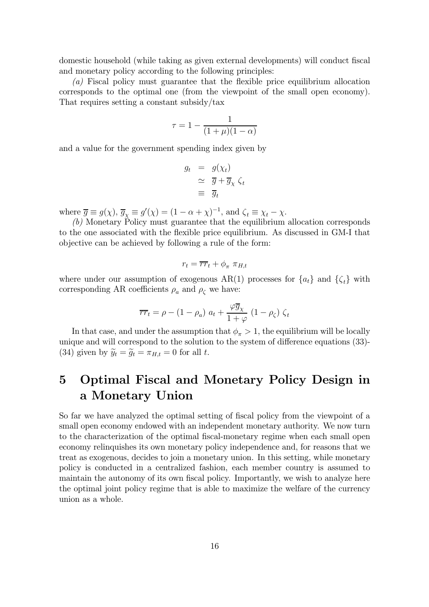domestic household (while taking as given external developments) will conduct fiscal and monetary policy according to the following principles:

(a) Fiscal policy must guarantee that the flexible price equilibrium allocation corresponds to the optimal one (from the viewpoint of the small open economy). That requires setting a constant subsidy/tax

$$
\tau = 1 - \frac{1}{(1+\mu)(1-\alpha)}
$$

and a value for the government spending index given by

$$
g_t = g(\chi_t)
$$
  
\n
$$
\simeq \overline{g} + \overline{g}_{\chi} \zeta_t
$$
  
\n
$$
\equiv \overline{g}_t
$$

where  $\overline{g} \equiv g(\chi)$ ,  $\overline{g}_{\chi} \equiv g'(\chi) = (1 - \alpha + \chi)^{-1}$ , and  $\zeta_t \equiv \chi_t - \chi$ .

(b) Monetary Policy must guarantee that the equilibrium allocation corresponds to the one associated with the flexible price equilibrium. As discussed in GM-I that objective can be achieved by following a rule of the form:

$$
r_t = \overline{rr}_t + \phi_{\pi} \; \pi_{H,t}
$$

where under our assumption of exogenous AR(1) processes for  ${a_t}$  and  ${\zeta_t}$  with corresponding AR coefficients  $\rho_a$  and  $\rho_c$  we have:

$$
\overline{rr}_t = \rho - (1 - \rho_a) a_t + \frac{\varphi \overline{g}_\chi}{1 + \varphi} (1 - \rho_\zeta) \zeta_t
$$

In that case, and under the assumption that  $\phi_{\pi} > 1$ , the equilibrium will be locally unique and will correspond to the solution to the system of difference equations (33)- (34) given by  $\widetilde{y}_t = \widetilde{g}_t = \pi_{H,t} = 0$  for all t.

# 5 Optimal Fiscal and Monetary Policy Design in a Monetary Union

So far we have analyzed the optimal setting of fiscal policy from the viewpoint of a small open economy endowed with an independent monetary authority. We now turn to the characterization of the optimal fiscal-monetary regime when each small open economy relinquishes its own monetary policy independence and, for reasons that we treat as exogenous, decides to join a monetary union. In this setting, while monetary policy is conducted in a centralized fashion, each member country is assumed to maintain the autonomy of its own fiscal policy. Importantly, we wish to analyze here the optimal joint policy regime that is able to maximize the welfare of the currency union as a whole.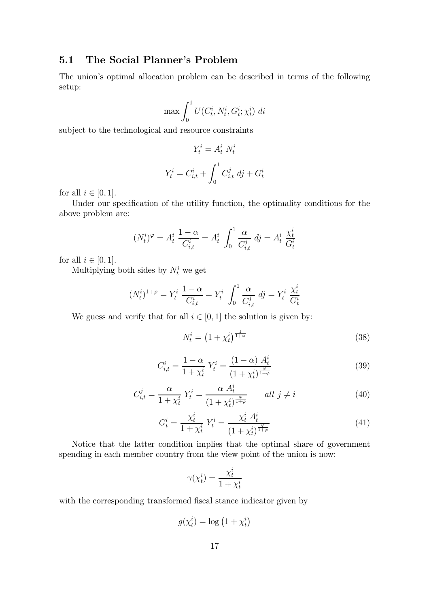## 5.1 The Social Planner's Problem

The union's optimal allocation problem can be described in terms of the following setup:

$$
\max \int_0^1 U(C_t^i, N_t^i, G_t^i; \chi_t^i) \, dt
$$

subject to the technological and resource constraints

$$
Y_t^i = A_t^i N_t^i
$$

$$
Y_t^i = C_{i,t}^i + \int_0^1 C_{i,t}^j dj + G_t^i
$$

for all  $i \in [0, 1]$ .

Under our specification of the utility function, the optimality conditions for the above problem are:

$$
(N_t^i)^{\varphi} = A_t^i \frac{1-\alpha}{C_{i,t}^i} = A_t^i \int_0^1 \frac{\alpha}{C_{i,t}^j} \, d j = A_t^i \, \frac{\chi_t^i}{G_t^i}
$$

for all  $i \in [0, 1]$ .

Multiplying both sides by  $N_t^i$  we get

$$
(N_t^i)^{1+\varphi} = Y_t^i \frac{1-\alpha}{C_{i,t}^i} = Y_t^i \int_0^1 \frac{\alpha}{C_{i,t}^j} \, d j = Y_t^i \frac{\chi_t^i}{G_t^i}
$$

We guess and verify that for all  $i \in [0, 1]$  the solution is given by:

$$
N_t^i = \left(1 + \chi_t^i\right)^{\frac{1}{1+\varphi}}
$$
\n
$$
(38)
$$

$$
C_{i,t}^{i} = \frac{1 - \alpha}{1 + \chi_t^{i}} Y_t^{i} = \frac{(1 - \alpha) A_t^{i}}{(1 + \chi_t^{i})^{\frac{\varphi}{1 + \varphi}}}
$$
(39)

$$
C_{i,t}^j = \frac{\alpha}{1 + \chi_t^i} Y_t^i = \frac{\alpha A_t^i}{(1 + \chi_t^i)^{\frac{\varphi}{1 + \varphi}}} \qquad \text{all } j \neq i \tag{40}
$$

$$
G_t^i = \frac{\chi_t^i}{1 + \chi_t^i} Y_t^i = \frac{\chi_t^i A_t^i}{(1 + \chi_t^i)^{\frac{\varphi}{1 + \varphi}}}
$$
(41)

Notice that the latter condition implies that the optimal share of government spending in each member country from the view point of the union is now:

$$
\gamma(\chi_t^i) = \frac{\chi_t^i}{1 + \chi_t^i}
$$

with the corresponding transformed fiscal stance indicator given by

$$
g(\chi_t^i) = \log\left(1 + \chi_t^i\right)
$$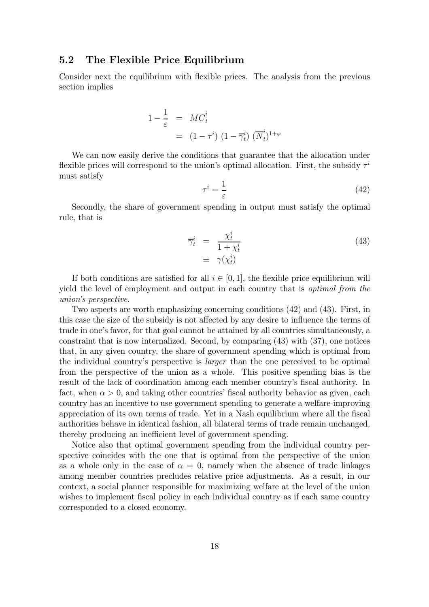### 5.2 The Flexible Price Equilibrium

Consider next the equilibrium with flexible prices. The analysis from the previous section implies

$$
1 - \frac{1}{\varepsilon} = \overline{MC}^i_t
$$
  
=  $(1 - \tau^i) (1 - \overline{\gamma}^i_t) (\overline{N}^i_t)^{1+\varphi}$ 

We can now easily derive the conditions that guarantee that the allocation under flexible prices will correspond to the union's optimal allocation. First, the subsidy  $\tau^i$ must satisfy

$$
\tau^i = \frac{1}{\varepsilon} \tag{42}
$$

Secondly, the share of government spending in output must satisfy the optimal rule, that is

$$
\overline{\gamma}_t^i = \frac{\chi_t^i}{1 + \chi_t^i} \n\equiv \gamma(\chi_t^i)
$$
\n(43)

If both conditions are satisfied for all  $i \in [0, 1]$ , the flexible price equilibrium will yield the level of employment and output in each country that is *optimal from the* union's perspective.

Two aspects are worth emphasizing concerning conditions (42) and (43). First, in this case the size of the subsidy is not affected by any desire to influence the terms of trade in one's favor, for that goal cannot be attained by all countries simultaneously, a constraint that is now internalized. Second, by comparing (43) with (37), one notices that, in any given country, the share of government spending which is optimal from the individual country's perspective is larger than the one perceived to be optimal from the perspective of the union as a whole. This positive spending bias is the result of the lack of coordination among each member country's fiscal authority. In fact, when  $\alpha > 0$ , and taking other countries' fiscal authority behavior as given, each country has an incentive to use government spending to generate a welfare-improving appreciation of its own terms of trade. Yet in a Nash equilibrium where all the fiscal authorities behave in identical fashion, all bilateral terms of trade remain unchanged, thereby producing an inefficient level of government spending.

Notice also that optimal government spending from the individual country perspective coincides with the one that is optimal from the perspective of the union as a whole only in the case of  $\alpha = 0$ , namely when the absence of trade linkages among member countries precludes relative price adjustments. As a result, in our context, a social planner responsible for maximizing welfare at the level of the union wishes to implement fiscal policy in each individual country as if each same country corresponded to a closed economy.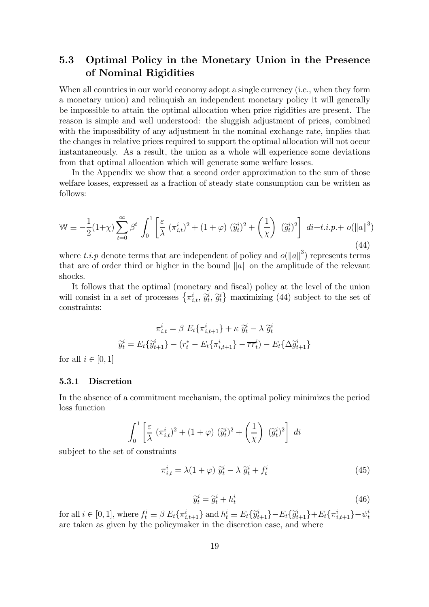## 5.3 Optimal Policy in the Monetary Union in the Presence of Nominal Rigidities

When all countries in our world economy adopt a single currency (i.e., when they form a monetary union) and relinquish an independent monetary policy it will generally be impossible to attain the optimal allocation when price rigidities are present. The reason is simple and well understood: the sluggish adjustment of prices, combined with the impossibility of any adjustment in the nominal exchange rate, implies that the changes in relative prices required to support the optimal allocation will not occur instantaneously. As a result, the union as a whole will experience some deviations from that optimal allocation which will generate some welfare losses.

In the Appendix we show that a second order approximation to the sum of those welfare losses, expressed as a fraction of steady state consumption can be written as follows:

$$
\mathbb{W} \equiv -\frac{1}{2}(1+\chi)\sum_{t=0}^{\infty} \beta^t \int_0^1 \left[\frac{\varepsilon}{\lambda} \left(\pi_{i,t}^i\right)^2 + (1+\varphi) \left(\widetilde{y}_t^i\right)^2 + \left(\frac{1}{\chi}\right) \left(\widetilde{g}_t^i\right)^2\right] dt + t.i.p. + o(\|a\|^3)
$$
\n(44)

where t.i.p denote terms that are independent of policy and  $o(||u||^3)$  represents terms that are of order third or higher in the bound  $||a||$  on the amplitude of the relevant shocks.

It follows that the optimal (monetary and fiscal) policy at the level of the union will consist in a set of processes  $\{\pi_{i,t}^i, \tilde{y}_t^i, \tilde{g}_t^i\}$  maximizing (44) subject to the set of constraints:

$$
\pi_{i,t}^i = \beta \ E_t \{ \pi_{i,t+1}^i \} + \kappa \ \tilde{y}_t^i - \lambda \ \tilde{g}_t^i
$$

$$
\tilde{y}_t^i = E_t \{ \tilde{y}_{t+1}^i \} - (r_t^* - E_t \{ \pi_{i,t+1}^i \} - \overline{rr}_t^i) - E_t \{ \Delta \tilde{g}_{t+1}^i \}
$$

for all  $i \in [0,1]$ 

#### 5.3.1 Discretion

In the absence of a commitment mechanism, the optimal policy minimizes the period loss function

$$
\int_0^1 \left[ \frac{\varepsilon}{\lambda} \left( \pi_{i,t}^i \right)^2 + (1 + \varphi) \left( \widetilde{y}_t^i \right)^2 + \left( \frac{1}{\chi} \right) \left( \widetilde{g}_t^i \right)^2 \right] dt
$$

subject to the set of constraints

$$
\pi_{i,t}^i = \lambda (1 + \varphi) \; \widetilde{y}_t^i - \lambda \; \widetilde{g}_t^i + f_t^i \tag{45}
$$

$$
\widetilde{y}_t^i = \widetilde{g}_t^i + h_t^i \tag{46}
$$

for all  $i \in [0, 1]$ , where  $f_i^i \equiv \beta E_t \{\pi_{i,t+1}^i\}$  and  $h_i^i \equiv E_t \{\widetilde{y}_{t+1}^i\} - E_t \{\widetilde{y}_{t+1}^i\} + E_t \{\pi_{i,t+1}^i\} - \psi_t^i$ are taken as given by the policymaker in the discretion case, and where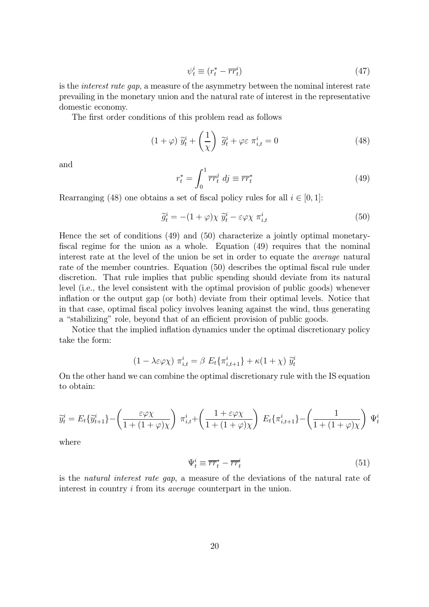$$
\psi_t^i \equiv (r_t^* - \overline{rr}_t^i) \tag{47}
$$

is the interest rate gap, a measure of the asymmetry between the nominal interest rate prevailing in the monetary union and the natural rate of interest in the representative domestic economy.

The first order conditions of this problem read as follows

$$
(1+\varphi) \; \widetilde{y}_t^i + \left(\frac{1}{\chi}\right) \; \widetilde{g}_t^i + \varphi \varepsilon \; \pi_{i,t}^i = 0 \tag{48}
$$

and

$$
r_t^* = \int_0^1 \overline{rr}_t^j \, dj \equiv \overline{rr}_t^* \tag{49}
$$

Rearranging (48) one obtains a set of fiscal policy rules for all  $i \in [0,1]$ :

$$
\widetilde{g}_t^i = -(1+\varphi)\chi \ \widetilde{y}_t^i - \varepsilon\varphi\chi \ \pi_{i,t}^i \tag{50}
$$

Hence the set of conditions (49) and (50) characterize a jointly optimal monetaryfiscal regime for the union as a whole. Equation (49) requires that the nominal interest rate at the level of the union be set in order to equate the average natural rate of the member countries. Equation (50) describes the optimal fiscal rule under discretion. That rule implies that public spending should deviate from its natural level (i.e., the level consistent with the optimal provision of public goods) whenever inflation or the output gap (or both) deviate from their optimal levels. Notice that in that case, optimal fiscal policy involves leaning against the wind, thus generating a "stabilizing" role, beyond that of an efficient provision of public goods.

Notice that the implied inflation dynamics under the optimal discretionary policy take the form:

$$
(1 - \lambda \varepsilon \varphi \chi) \pi_{i,t}^i = \beta E_t \{\pi_{i,t+1}^i\} + \kappa (1 + \chi) \widetilde{y}_t^i
$$

On the other hand we can combine the optimal discretionary rule with the IS equation to obtain:

$$
\widetilde{y}_t^i = E_t \{ \widetilde{y}_{t+1}^i \} - \left( \frac{\varepsilon \varphi \chi}{1 + (1 + \varphi) \chi} \right) \pi_{i,t}^i + \left( \frac{1 + \varepsilon \varphi \chi}{1 + (1 + \varphi) \chi} \right) E_t \{ \pi_{i,t+1}^i \} - \left( \frac{1}{1 + (1 + \varphi) \chi} \right) \Psi_t^i
$$

where

$$
\Psi_t^i \equiv \overline{rr}_t^* - \overline{rr}_t^i \tag{51}
$$

is the natural interest rate gap, a measure of the deviations of the natural rate of interest in country i from its average counterpart in the union.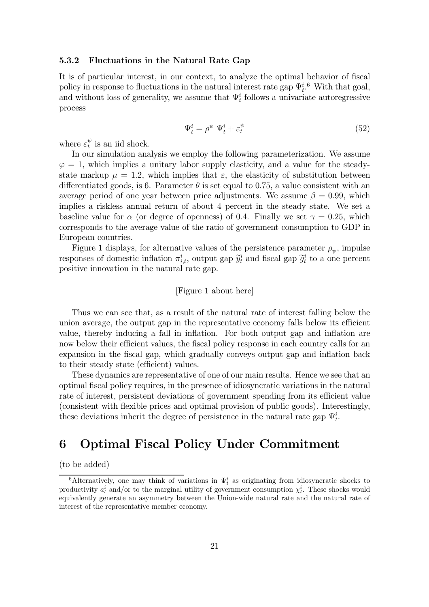#### 5.3.2 Fluctuations in the Natural Rate Gap

It is of particular interest, in our context, to analyze the optimal behavior of fiscal policy in response to fluctuations in the natural interest rate gap  $\Psi_t^{i.6}$ . With that goal, and without loss of generality, we assume that  $\Psi_t^i$  follows a univariate autoregressive process

$$
\Psi_t^i = \rho^\psi \ \Psi_t^i + \varepsilon_t^\psi \tag{52}
$$

where  $\varepsilon_t^{\psi}$  is an iid shock.

In our simulation analysis we employ the following parameterization. We assume  $\varphi = 1$ , which implies a unitary labor supply elasticity, and a value for the steadystate markup  $\mu = 1.2$ , which implies that  $\varepsilon$ , the elasticity of substitution between differentiated goods, is 6. Parameter  $\theta$  is set equal to 0.75, a value consistent with an average period of one year between price adjustments. We assume  $\beta = 0.99$ , which implies a riskless annual return of about 4 percent in the steady state. We set a baseline value for  $\alpha$  (or degree of openness) of 0.4. Finally we set  $\gamma = 0.25$ , which corresponds to the average value of the ratio of government consumption to GDP in European countries.

Figure 1 displays, for alternative values of the persistence parameter  $\rho_{\psi}$ , impulse responses of domestic inflation  $\pi_{i,t}^i$ , output gap  $\widetilde{y}_t^i$  and fiscal gap  $\widetilde{g}_t^i$  to a one percent positive innovation in the natural rate gap.

### [Figure 1 about here]

Thus we can see that, as a result of the natural rate of interest falling below the union average, the output gap in the representative economy falls below its efficient value, thereby inducing a fall in inflation. For both output gap and inflation are now below their efficient values, the fiscal policy response in each country calls for an expansion in the fiscal gap, which gradually conveys output gap and inflation back to their steady state (efficient) values.

These dynamics are representative of one of our main results. Hence we see that an optimal fiscal policy requires, in the presence of idiosyncratic variations in the natural rate of interest, persistent deviations of government spending from its efficient value (consistent with flexible prices and optimal provision of public goods). Interestingly, these deviations inherit the degree of persistence in the natural rate gap  $\Psi_t^i$ .

# 6 Optimal Fiscal Policy Under Commitment

(to be added)

<sup>&</sup>lt;sup>6</sup>Alternatively, one may think of variations in  $\Psi_t^i$  as originating from idiosyncratic shocks to productivity  $a_t^i$  and/or to the marginal utility of government consumption  $\chi_t^i$ . These shocks would equivalently generate an asymmetry between the Union-wide natural rate and the natural rate of interest of the representative member economy.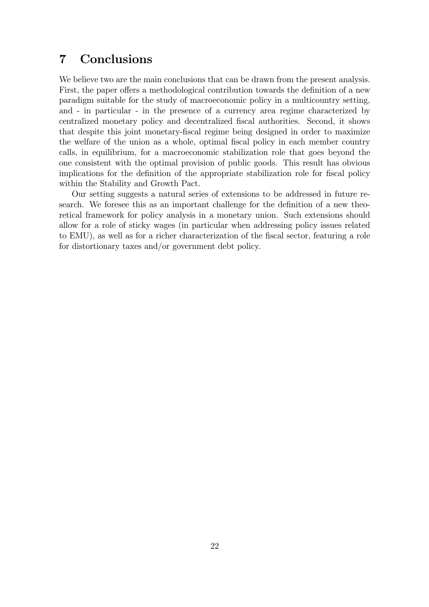# 7 Conclusions

We believe two are the main conclusions that can be drawn from the present analysis. First, the paper offers a methodological contribution towards the definition of a new paradigm suitable for the study of macroeconomic policy in a multicountry setting, and - in particular - in the presence of a currency area regime characterized by centralized monetary policy and decentralized fiscal authorities. Second, it shows that despite this joint monetary-fiscal regime being designed in order to maximize the welfare of the union as a whole, optimal fiscal policy in each member country calls, in equilibrium, for a macroeconomic stabilization role that goes beyond the one consistent with the optimal provision of public goods. This result has obvious implications for the definition of the appropriate stabilization role for fiscal policy within the Stability and Growth Pact.

Our setting suggests a natural series of extensions to be addressed in future research. We foresee this as an important challenge for the definition of a new theoretical framework for policy analysis in a monetary union. Such extensions should allow for a role of sticky wages (in particular when addressing policy issues related to EMU), as well as for a richer characterization of the fiscal sector, featuring a role for distortionary taxes and/or government debt policy.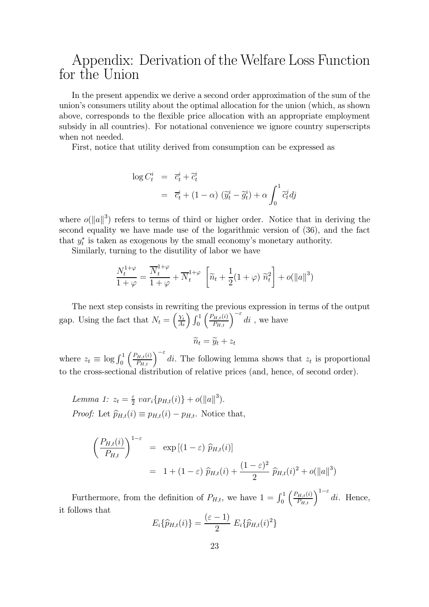# Appendix: Derivation of the Welfare Loss Function for the Union

In the present appendix we derive a second order approximation of the sum of the union's consumers utility about the optimal allocation for the union (which, as shown above, corresponds to the flexible price allocation with an appropriate employment subsidy in all countries). For notational convenience we ignore country superscripts when not needed.

First, notice that utility derived from consumption can be expressed as

$$
\log C_t^i = \overline{c}_t^i + \widetilde{c}_t^i
$$
  
=  $\overline{c}_t^i + (1 - \alpha) (\widetilde{y}_t^i - \widetilde{g}_t^i) + \alpha \int_0^1 \widetilde{c}_t^j dj$ 

where  $o(||a||^3)$  refers to terms of third or higher order. Notice that in deriving the second equality we have made use of the logarithmic version of (36), and the fact that  $y_t^*$  is taken as exogenous by the small economy's monetary authority.

Similarly, turning to the disutility of labor we have

$$
\frac{N_t^{1+\varphi}}{1+\varphi} = \frac{\overline{N}_t^{1+\varphi}}{1+\varphi} + \overline{N}_t^{1+\varphi} \left[ \widetilde{n}_t + \frac{1}{2}(1+\varphi) \ \widetilde{n}_t^2 \right] + o(\|a\|^3)
$$

The next step consists in rewriting the previous expression in terms of the output gap. Using the fact that  $N_t = \left(\frac{Y_t}{A_t}\right)$  $\frac{Y_t}{A_t}$ )  $\int_0^1$  $\left(\frac{P_{H,t}(i)}{P_{H,t}}\right)^{-\varepsilon}di$ , we have

$$
\widetilde{n}_t = \widetilde{y}_t + z_t
$$

where  $z_t \equiv \log \int_0^1$  $\left(\frac{P_{H,t}(i)}{P_{H,t}}\right)^{-\varepsilon}$  di. The following lemma shows that  $z_t$  is proportional to the cross-sectional distribution of relative prices (and, hence, of second order).

Lemma 1:  $z_t = \frac{\varepsilon}{2} var_i \{ p_{H,t}(i) \} + o(||a||^3)$ . *Proof:* Let  $\hat{p}_{H,t}(i) \equiv p_{H,t}(i) - p_{H,t}$ . Notice that,

$$
\left(\frac{P_{H,t}(i)}{P_{H,t}}\right)^{1-\varepsilon} = \exp\left[(1-\varepsilon)\widehat{p}_{H,t}(i)\right]
$$

$$
= 1 + (1-\varepsilon)\widehat{p}_{H,t}(i) + \frac{(1-\varepsilon)^2}{2}\widehat{p}_{H,t}(i)^2 + o(\|a\|^3)
$$

Furthermore, from the definition of  $P_{H,t}$ , we have  $1 = \int_0^1$  $\left(\frac{P_{H,t}(i)}{P_{H,t}}\right)^{1-\varepsilon}di$ . Hence, it follows that

$$
E_i\{\widehat{p}_{H,t}(i)\} = \frac{(\varepsilon - 1)}{2} E_i\{\widehat{p}_{H,t}(i)^2\}
$$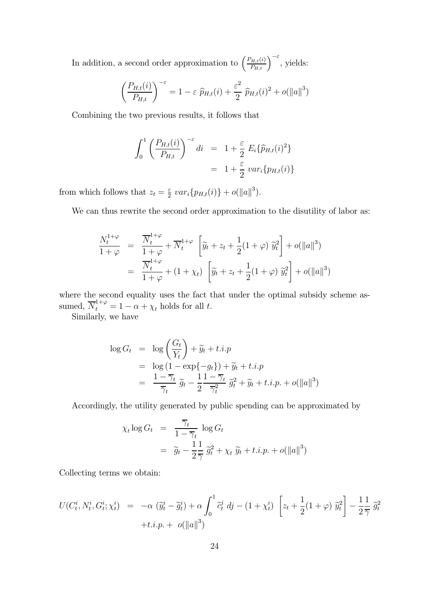In addition, a second order approximation to  $\left(\frac{P_{H,t}(i)}{P_{H,t}}\right)^{-\varepsilon}$ , yields:

$$
\left(\frac{P_{H,t}(i)}{P_{H,t}}\right)^{-\varepsilon} = 1 - \varepsilon \widehat{p}_{H,t}(i) + \frac{\varepsilon^2}{2} \widehat{p}_{H,t}(i)^2 + o(||a||^3)
$$

Combining the two previous results, it follows that

$$
\int_0^1 \left(\frac{P_{H,t}(i)}{P_{H,t}}\right)^{-\varepsilon} di = 1 + \frac{\varepsilon}{2} E_i \{\widehat{p}_{H,t}(i)^2\}
$$

$$
= 1 + \frac{\varepsilon}{2} var_i \{p_{H,t}(i)\}
$$

from which follows that  $z_t = \frac{\varepsilon}{2} var_i \{p_{H,t}(i)\} + o(||a||^3)$ .

We can thus rewrite the second order approximation to the disutility of labor as:

$$
\frac{N_t^{1+\varphi}}{1+\varphi} = \frac{\overline{N}_t^{1+\varphi}}{1+\varphi} + \overline{N}_t^{1+\varphi} \left[ \widetilde{y}_t + z_t + \frac{1}{2} (1+\varphi) \, \widetilde{y}_t^2 \right] + o(||a||^3) \n= \frac{\overline{N}_t^{1+\varphi}}{1+\varphi} + (1+\chi_t) \left[ \widetilde{y}_t + z_t + \frac{1}{2} (1+\varphi) \, \widetilde{y}_t^2 \right] + o(||a||^3)
$$

where the second equality uses the fact that under the optimal subsidy scheme assumed,  $\overline{N}_t^{1+\varphi} = 1 - \alpha + \chi_t$  holds for all t.

Similarly, we have

$$
\log G_t = \log \left( \frac{G_t}{Y_t} \right) + \widetilde{y}_t + t.i.p
$$
  
= 
$$
\log (1 - \exp\{-g_t\}) + \widetilde{y}_t + t.i.p
$$
  
= 
$$
\frac{1 - \overline{\gamma}_t}{\overline{\gamma}_t} \widetilde{g}_t - \frac{1}{2} \frac{1 - \overline{\gamma}_t}{\overline{\gamma}_t^2} \widetilde{g}_t^2 + \widetilde{y}_t + t.i.p. + o(\|a\|^3)
$$

Accordingly, the utility generated by public spending can be approximated by

$$
\chi_t \log G_t = \frac{\overline{\gamma}_t}{1 - \overline{\gamma}_t} \log G_t
$$
  
=  $\widetilde{g}_t - \frac{1}{2} \frac{1}{\overline{\gamma}} \widetilde{g}_t^2 + \chi_t \widetilde{y}_t + t.i.p. + o(||a||^3)$ 

Collecting terms we obtain:

$$
U(C_t^i, N_t^i, G_t^i; \chi_t^i) = -\alpha \left( \widetilde{y}_t^i - \widetilde{g}_t^i \right) + \alpha \int_0^1 \widetilde{c}_t^j \, dj - (1 + \chi_t^i) \left[ z_t + \frac{1}{2} (1 + \varphi) \, \widetilde{y}_t^2 \right] - \frac{1}{2} \frac{1}{\gamma} \, \widetilde{g}_t^2
$$
  
+*t.i.p.* +  $o(||a||^3)$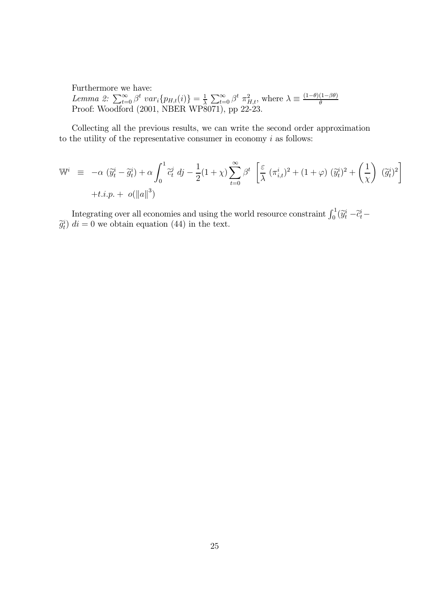Furthermore we have: Lemma 2:  $\sum_{t=0}^{\infty} \beta^t \ var_i\{p_{H,t}(i)\} = \frac{1}{\lambda} \sum_{t=0}^{\infty} \beta^t \ \pi_{H,t}^2$ , where  $\lambda \equiv \frac{(1-\theta)(1-\beta\theta)}{\theta}$ <br>Proof: Woodford (2001, NBER WP8071), pp 22-23.

Collecting all the previous results, we can write the second order approximation to the utility of the representative consumer in economy  $i$  as follows:

$$
\mathbb{W}^{i} \equiv -\alpha \left( \widetilde{y}_{t}^{i} - \widetilde{g}_{t}^{i} \right) + \alpha \int_{0}^{1} \widetilde{c}_{t}^{j} \, dj - \frac{1}{2} (1 + \chi) \sum_{t=0}^{\infty} \beta^{t} \left[ \frac{\varepsilon}{\lambda} \left( \pi_{i,t}^{i} \right)^{2} + (1 + \varphi) \left( \widetilde{y}_{t}^{i} \right)^{2} + \left( \frac{1}{\chi} \right) \left( \widetilde{g}_{t}^{i} \right)^{2} \right] + t.i.p. + o(||a||^{3})
$$

Integrating over all economies and using the world resource constraint  $\int_0^1 (\tilde{y}_t^i - \tilde{c}_t^i \hat{g}_t^i$  di = 0 we obtain equation (44) in the text.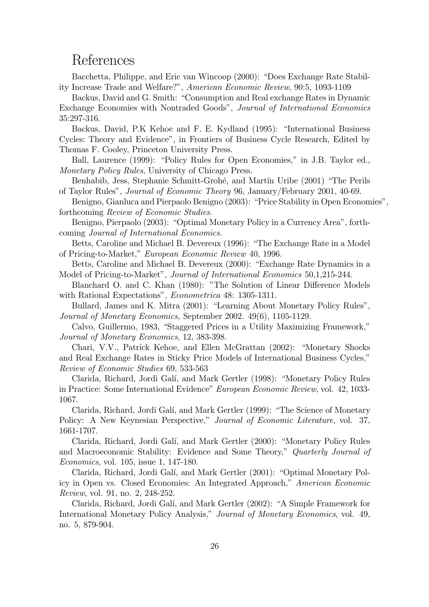# References

Bacchetta, Philippe, and Eric van Wincoop (2000): "Does Exchange Rate Stability Increase Trade and Welfare?", American Economic Review, 90:5, 1093-1109

Backus, David and G. Smith: "Consumption and Real exchange Rates in Dynamic Exchange Economies with Nontraded Goods", Journal of International Economics 35:297-316.

Backus, David, P.K Kehoe and F. E. Kydland (1995): "International Business Cycles: Theory and Evidence", in Frontiers of Business Cycle Research, Edited by Thomas F. Cooley, Princeton University Press.

Ball, Laurence (1999): "Policy Rules for Open Economies," in J.B. Taylor ed., Monetary Policy Rules, University of Chicago Press.

Benhabib, Jess, Stephanie Schmitt-Grohé, and Martín Uribe (2001) "The Perils of Taylor Rules", Journal of Economic Theory 96, January/February 2001, 40-69.

Benigno, Gianluca and Pierpaolo Benigno (2003): "Price Stability in Open Economies", forthcoming Review of Economic Studies.

Benigno, Pierpaolo (2003): "Optimal Monetary Policy in a Currency Area", forthcoming Journal of International Economics.

Betts, Caroline and Michael B. Devereux (1996): "The Exchange Rate in a Model of Pricing-to-Market," European Economic Review 40, 1996.

Betts, Caroline and Michael B. Devereux (2000): "Exchange Rate Dynamics in a Model of Pricing-to-Market", Journal of International Economics 50,1,215-244.

Blanchard O. and C. Khan (1980): "The Solution of Linear Difference Models with Rational Expectations", Econometrica 48: 1305-1311.

Bullard, James and K. Mitra (2001): "Learning About Monetary Policy Rules", Journal of Monetary Economics, September 2002. 49(6), 1105-1129.

Calvo, Guillermo, 1983, "Staggered Prices in a Utility Maximizing Framework," Journal of Monetary Economics, 12, 383-398.

Chari, V.V., Patrick Kehoe, and Ellen McGrattan (2002): "Monetary Shocks and Real Exchange Rates in Sticky Price Models of International Business Cycles," Review of Economic Studies 69, 533-563

Clarida, Richard, Jordi Gal´ı, and Mark Gertler (1998): "Monetary Policy Rules in Practice: Some International Evidence" European Economic Review, vol. 42, 1033- 1067.

Clarida, Richard, Jordi Gal´ı, and Mark Gertler (1999): "The Science of Monetary Policy: A New Keynesian Perspective," Journal of Economic Literature, vol. 37, 1661-1707.

Clarida, Richard, Jordi Gal´ı, and Mark Gertler (2000): "Monetary Policy Rules and Macroeconomic Stability: Evidence and Some Theory," Quarterly Journal of Economics, vol. 105, issue 1, 147-180.

Clarida, Richard, Jordi Gal´ı, and Mark Gertler (2001): "Optimal Monetary Policy in Open vs. Closed Economies: An Integrated Approach," American Economic Review, vol. 91, no. 2, 248-252.

Clarida, Richard, Jordi Gal´ı, and Mark Gertler (2002): "A Simple Framework for International Monetary Policy Analysis," Journal of Monetary Economics, vol. 49, no. 5, 879-904.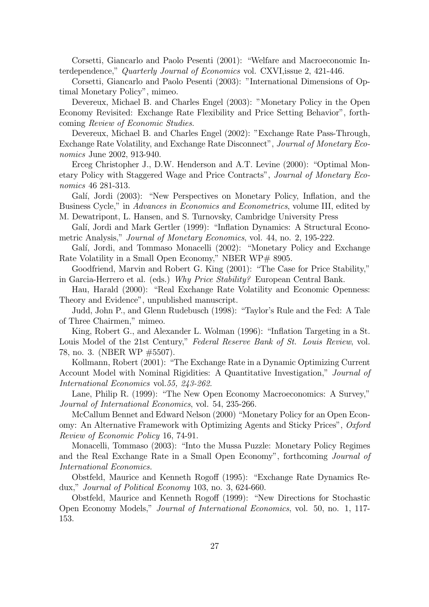Corsetti, Giancarlo and Paolo Pesenti (2001): "Welfare and Macroeconomic Interdependence," Quarterly Journal of Economics vol. CXVI, issue 2, 421-446.

Corsetti, Giancarlo and Paolo Pesenti (2003): "International Dimensions of Optimal Monetary Policy", mimeo.

Devereux, Michael B. and Charles Engel (2003): "Monetary Policy in the Open Economy Revisited: Exchange Rate Flexibility and Price Setting Behavior", forthcoming Review of Economic Studies.

Devereux, Michael B. and Charles Engel (2002): "Exchange Rate Pass-Through, Exchange Rate Volatility, and Exchange Rate Disconnect", Journal of Monetary Economics June 2002, 913-940.

Erceg Christopher J., D.W. Henderson and A.T. Levine (2000): "Optimal Monetary Policy with Staggered Wage and Price Contracts", Journal of Monetary Economics 46 281-313.

Galí, Jordi (2003): "New Perspectives on Monetary Policy, Inflation, and the Business Cycle," in Advances in Economics and Econometrics, volume III, edited by

M. Dewatripont, L. Hansen, and S. Turnovsky, Cambridge University Press

- Galí, Jordi and Mark Gertler (1999): "Inflation Dynamics: A Structural Econometric Analysis," Journal of Monetary Economics, vol. 44, no. 2, 195-222.
- Galí, Jordi, and Tommaso Monacelli (2002): "Monetary Policy and Exchange Rate Volatility in a Small Open Economy," NBER WP# 8905.

Goodfriend, Marvin and Robert G. King (2001): "The Case for Price Stability," in Garcia-Herrero et al. (eds.) Why Price Stability? European Central Bank.

Hau, Harald (2000): "Real Exchange Rate Volatility and Economic Openness: Theory and Evidence", unpublished manuscript.

Judd, John P., and Glenn Rudebusch (1998): "Taylor's Rule and the Fed: A Tale of Three Chairmen," mimeo.

King, Robert G., and Alexander L. Wolman (1996): "Inflation Targeting in a St. Louis Model of the 21st Century," Federal Reserve Bank of St. Louis Review, vol. 78, no. 3. (NBER WP #5507).

Kollmann, Robert (2001): "The Exchange Rate in a Dynamic Optimizing Current Account Model with Nominal Rigidities: A Quantitative Investigation," Journal of International Economics vol.55, 243-262.

Lane, Philip R. (1999): "The New Open Economy Macroeconomics: A Survey," Journal of International Economics, vol. 54, 235-266.

McCallum Bennet and Edward Nelson (2000) "Monetary Policy for an Open Economy: An Alternative Framework with Optimizing Agents and Sticky Prices", Oxford Review of Economic Policy 16, 74-91.

Monacelli, Tommaso (2003): "Into the Mussa Puzzle: Monetary Policy Regimes and the Real Exchange Rate in a Small Open Economy", forthcoming Journal of International Economics.

Obstfeld, Maurice and Kenneth Rogoff (1995): "Exchange Rate Dynamics Redux," Journal of Political Economy 103, no. 3, 624-660.

Obstfeld, Maurice and Kenneth Rogoff (1999): "New Directions for Stochastic Open Economy Models," Journal of International Economics, vol. 50, no. 1, 117- 153.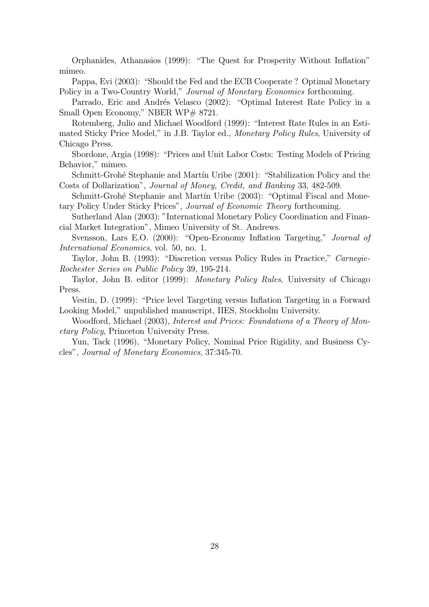Orphanides, Athanasios (1999): "The Quest for Prosperity Without Inflation" mimeo.

Pappa, Evi (2003): "Should the Fed and the ECB Cooperate ? Optimal Monetary Policy in a Two-Country World," *Journal of Monetary Economics* forthcoming.

Parrado, Eric and Andrés Velasco (2002): "Optimal Interest Rate Policy in a Small Open Economy," NBER WP# 8721.

Rotemberg, Julio and Michael Woodford (1999): "Interest Rate Rules in an Estimated Sticky Price Model," in J.B. Taylor ed., Monetary Policy Rules, University of Chicago Press.

Sbordone, Argia (1998): "Prices and Unit Labor Costs: Testing Models of Pricing Behavior," mimeo.

Schmitt-Grohé Stephanie and Martín Uribe (2001): "Stabilization Policy and the Costs of Dollarization", Journal of Money, Credit, and Banking 33, 482-509.

Schmitt-Grohé Stephanie and Martín Uribe (2003): "Optimal Fiscal and Monetary Policy Under Sticky Prices", Journal of Economic Theory forthcoming.

Sutherland Alan (2003): "International Monetary Policy Coordination and Financial Market Integration", Mimeo University of St. Andrews.

Svensson, Lars E.O. (2000): "Open-Economy Inflation Targeting," Journal of International Economics, vol. 50, no. 1.

Taylor, John B. (1993): "Discretion versus Policy Rules in Practice," Carnegie-Rochester Series on Public Policy 39, 195-214.

Taylor, John B. editor (1999): Monetary Policy Rules, University of Chicago Press.

Vestin, D. (1999): "Price level Targeting versus Inflation Targeting in a Forward Looking Model," unpublished manuscript, IIES, Stockholm University.

Woodford, Michael (2003), Interest and Prices: Foundations of a Theory of Monetary Policy, Princeton University Press.

Yun, Tack (1996), "Monetary Policy, Nominal Price Rigidity, and Business Cycles", Journal of Monetary Economics, 37:345-70.